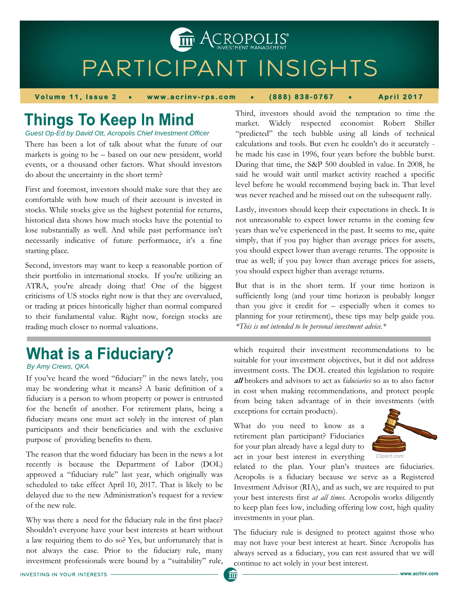PARTICIPANT INSIGHTS

**THE ACROPOLIS** 

**Volume 11, Issue 2 www.acrinv-rps.com (888) 838-0767 April 2017** 

# **Things To Keep In Mind**

*Guest Op-Ed by David Ott, Acropolis Chief Investment Officer* 

There has been a lot of talk about what the future of our markets is going to be – based on our new president, world events, or a thousand other factors. What should investors do about the uncertainty in the short term?

First and foremost, investors should make sure that they are comfortable with how much of their account is invested in stocks. While stocks give us the highest potential for returns, historical data shows how much stocks have the potential to lose substantially as well. And while past performance isn't necessarily indicative of future performance, it's a fine starting place.

Second, investors may want to keep a reasonable portion of their portfolio in international stocks. If you're utilizing an ATRA, you're already doing that! One of the biggest criticisms of US stocks right now is that they are overvalued, or trading at prices historically higher than normal compared to their fundamental value. Right now, foreign stocks are trading much closer to normal valuations.

## **What is a Fiduciary?**

*By Amy Crews, QKA* 

If you've heard the word "fiduciary" in the news lately, you may be wondering what it means? A basic definition of a fiduciary is a person to whom property or power is entrusted for the benefit of another. For retirement plans, being a fiduciary means one must act solely in the interest of plan participants and their beneficiaries and with the exclusive purpose of providing benefits to them.

The reason that the word fiduciary has been in the news a lot recently is because the Department of Labor (DOL) approved a "fiduciary rule" last year, which originally was scheduled to take effect April 10, 2017. That is likely to be delayed due to the new Administration's request for a review of the new rule.

Why was there a need for the fiduciary rule in the first place? Shouldn't everyone have your best interests at heart without a law requiring them to do so? Yes, but unfortunately that is not always the case. Prior to the fiduciary rule, many investment professionals were bound by a "suitability" rule,

Third, investors should avoid the temptation to time the market. Widely respected economist Robert Shiller "predicted" the tech bubble using all kinds of technical calculations and tools. But even he couldn't do it accurately he made his case in 1996, four years before the bubble burst. During that time, the S&P 500 doubled in value. In 2008, he said he would wait until market activity reached a specific level before he would recommend buying back in. That level was never reached and he missed out on the subsequent rally.

Lastly, investors should keep their expectations in check. It is not unreasonable to expect lower returns in the coming few years than we've experienced in the past. It seems to me, quite simply, that if you pay higher than average prices for assets, you should expect lower than average returns. The opposite is true as well; if you pay lower than average prices for assets, you should expect higher than average returns.

But that is in the short term. If your time horizon is sufficiently long (and your time horizon is probably longer than you give it credit for – especially when it comes to planning for your retirement), these tips may help guide you. *\*This is not intended to be personal investment advice.\**

which required their investment recommendations to be suitable for your investment objectives, but it did not address investment costs. The DOL created this legislation to require **all** brokers and advisors to act as f*iduciaries* so as to also factor in cost when making recommendations, and protect people from being taken advantage of in their investments (with exceptions for certain products).

What do you need to know as a retirement plan participant? Fiduciaries for your plan already have a legal duty to act in your best interest in everything



related to the plan. Your plan's trustees are fiduciaries. Acropolis is a fiduciary because we serve as a Registered Investment Advisor (RIA), and as such, we are required to put your best interests first *at all times*. Acropolis works diligently to keep plan fees low, including offering low cost, high quality investments in your plan.

The fiduciary rule is designed to protect against those who may not have your best interest at heart. Since Acropolis has always served as a fiduciary, you can rest assured that we will continue to act solely in your best interest.